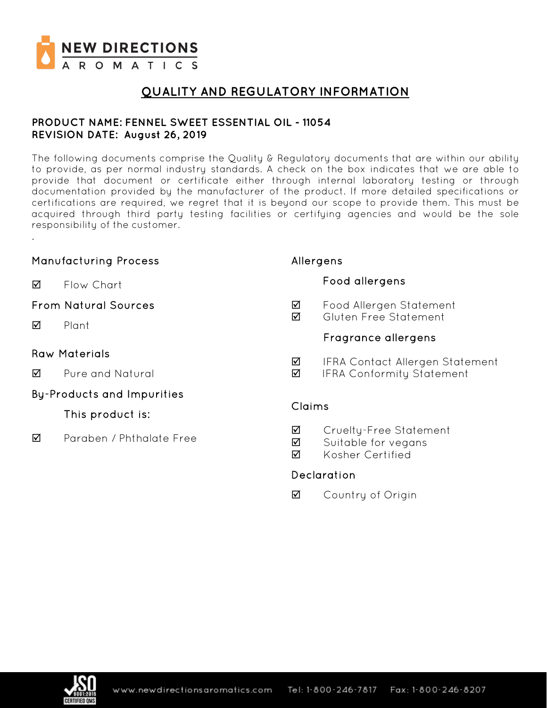

.

## **QUALITY AND REGULATORY INFORMATION**

### **PRODUCT NAME: FENNEL SWEET ESSENTIAL OIL - 11054 REVISION DATE: August 26, 2019**

The following documents comprise the Quality & Regulatory documents that are within our ability to provide, as per normal industry standards. A check on the box indicates that we are able to provide that document or certificate either through internal laboratory testing or through documentation provided by the manufacturer of the product. If more detailed specifications or certifications are required, we regret that it is beyond our scope to provide them. This must be acquired through third party testing facilities or certifying agencies and would be the sole responsibility of the customer.

### Manufacturing Process **M** Flow Chart From Natural Sources **Ø** Plant Raw Materials  $\overline{2}$  Pure and Natural By-Products and Impurities This product is:  $\blacksquare$  Paraben / Phthalate Free Allergens Food allergens ■ Food Allergen Statement Gluten Free Statement Fragrance allergens **Ø** IFRA Contact Allergen Statement **Ø** IFRA Conformity Statement Claims **Ø** Cruelty-Free Statement ■ Suitable for vegans **M** Kosher Certified Declaration

**☑** Country of Origin

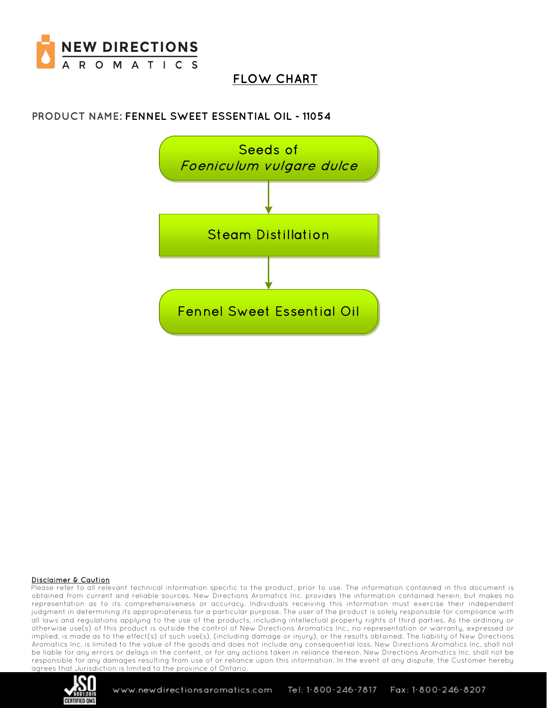

# **FLOW CHART**

## **PRODUCT NAME: FENNEL SWEET ESSENTIAL OIL - 11054**



#### Disclaimer & Caution

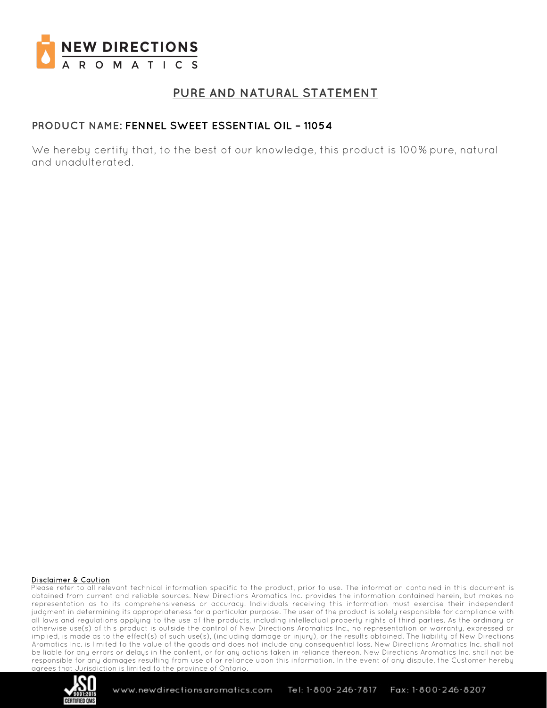

## **PURE AND NATURAL STATEMENT**

### **PRODUCT NAME: FENNEL SWEET ESSENTIAL OIL – 11054**

We hereby certify that, to the best of our knowledge, this product is 100% pure, natural and unadulterated.

#### Disclaimer & Caution

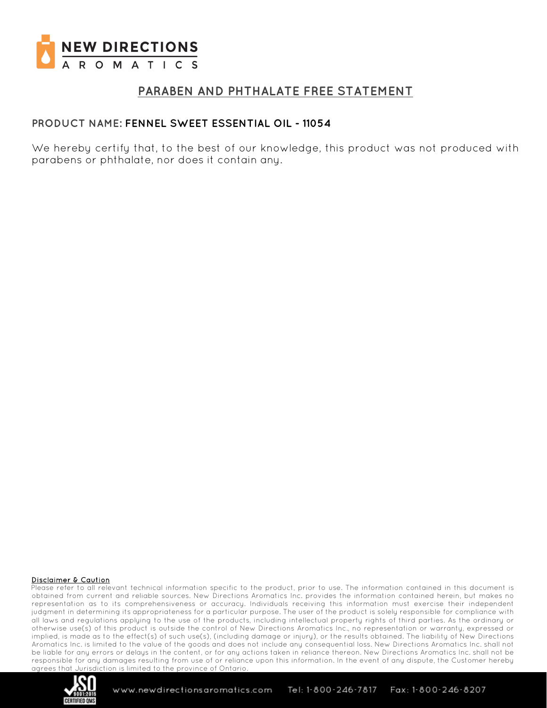

## **PARABEN AND PHTHALATE FREE STATEMENT**

### **PRODUCT NAME: FENNEL SWEET ESSENTIAL OIL - 11054**

We hereby certify that, to the best of our knowledge, this product was not produced with parabens or phthalate, nor does it contain any.

#### Disclaimer & Caution

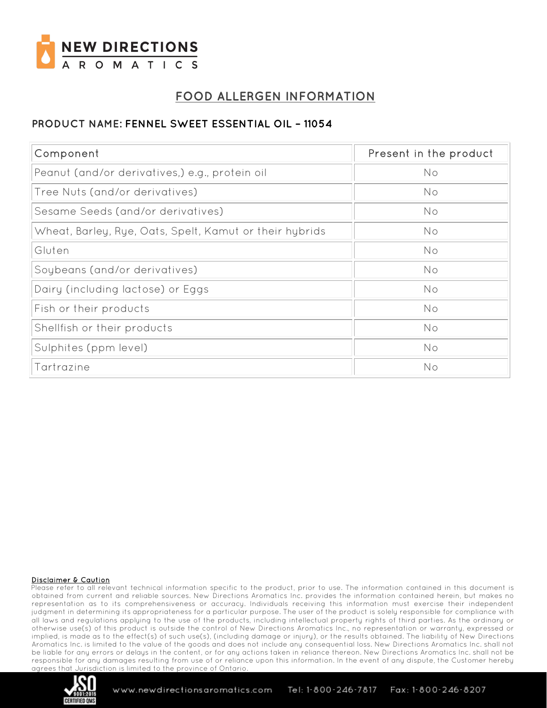

# **FOOD ALLERGEN INFORMATION**

## **PRODUCT NAME: FENNEL SWEET ESSENTIAL OIL – 11054**

| Component                                               | Present in the product |
|---------------------------------------------------------|------------------------|
| Peanut (and/or derivatives,) e.g., protein oil          | No                     |
| Tree Nuts (and/or derivatives)                          | No                     |
| Sesame Seeds (and/or derivatives)                       | No                     |
| Wheat, Barley, Rye, Oats, Spelt, Kamut or their hybrids | No                     |
| Gluten                                                  | No                     |
| Soybeans (and/or derivatives)                           | No                     |
| Dairy (including lactose) or Eggs                       | No                     |
| Fish or their products                                  | No                     |
| Shellfish or their products                             | No                     |
| Sulphites (ppm level)                                   | No                     |
| Tartrazine                                              | No                     |

#### Disclaimer & Caution

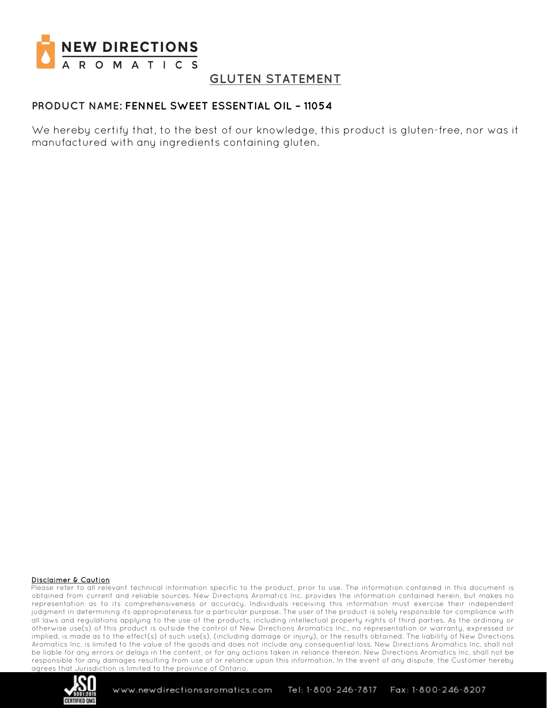

## **GLUTEN STATEMENT**

### **PRODUCT NAME: FENNEL SWEET ESSENTIAL OIL – 11054**

We hereby certify that, to the best of our knowledge, this product is gluten-free, nor was it manufactured with any ingredients containing gluten.

#### Disclaimer & Caution

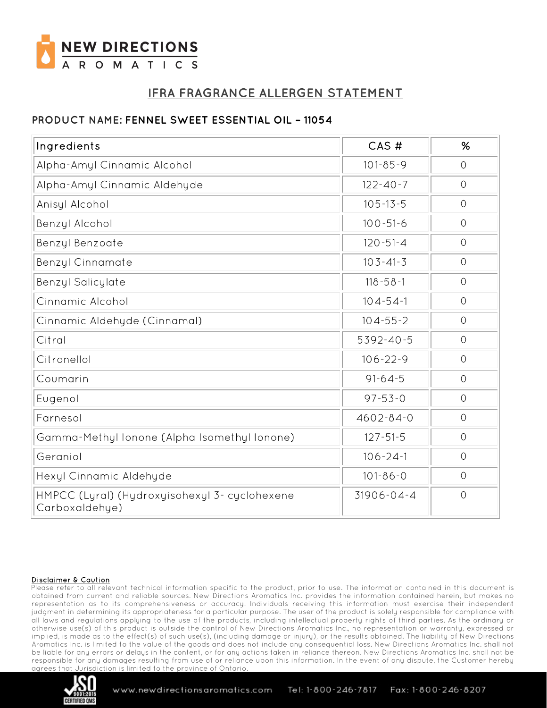

# **IFRA FRAGRANCE ALLERGEN STATEMENT**

## **PRODUCT NAME: FENNEL SWEET ESSENTIAL OIL – 11054**

| CAS#<br>Ingredients                                             |                  | %              |
|-----------------------------------------------------------------|------------------|----------------|
| Alpha-Amyl Cinnamic Alcohol                                     | $101 - 85 - 9$   |                |
| Alpha-Amyl Cinnamic Aldehyde                                    | $122 - 40 - 7$   | $\circ$        |
| Anisyl Alcohol                                                  | $105 - 13 - 5$   | $\circ$        |
| $100 - 51 - 6$<br>Benzyl Alcohol                                |                  | $\circ$        |
| $120 - 51 - 4$<br>Benzyl Benzoate                               |                  | $\overline{O}$ |
| <b>Benzyl Cinnamate</b>                                         | $103 - 41 - 3$   | $\circ$        |
| $118 - 58 - 1$<br><b>Benzyl Salicylate</b>                      |                  | $\circ$        |
| Cinnamic Alcohol                                                | $104 - 54 - 1$   | $\circ$        |
| Cinnamic Aldehyde (Cinnamal)                                    | $104 - 55 - 2$   | $\circ$        |
| Citral                                                          | 5392-40-5        | $\circ$        |
| Citronellol                                                     | $106 - 22 - 9$   | $\circ$        |
| $91 - 64 - 5$<br>Coumarin                                       |                  | $\circ$        |
| $97 - 53 - 0$<br>Eugenol                                        |                  | $\Omega$       |
| Farnesol                                                        | $4602 - 84 - 0$  | $\circ$        |
| Gamma-Methyl lonone (Alpha Isomethyl lonone)                    | $127 - 51 - 5$   | $\circ$        |
| Geraniol                                                        | $106 - 24 - 1$   | $\circ$        |
| Hexyl Cinnamic Aldehyde                                         | $101 - 86 - 0$   | $\circ$        |
| HMPCC (Lyral) (Hydroxyisohexyl 3- cyclohexene<br>Carboxaldehye) | $31906 - 04 - 4$ | $\circ$        |

#### Disclaimer & Caution

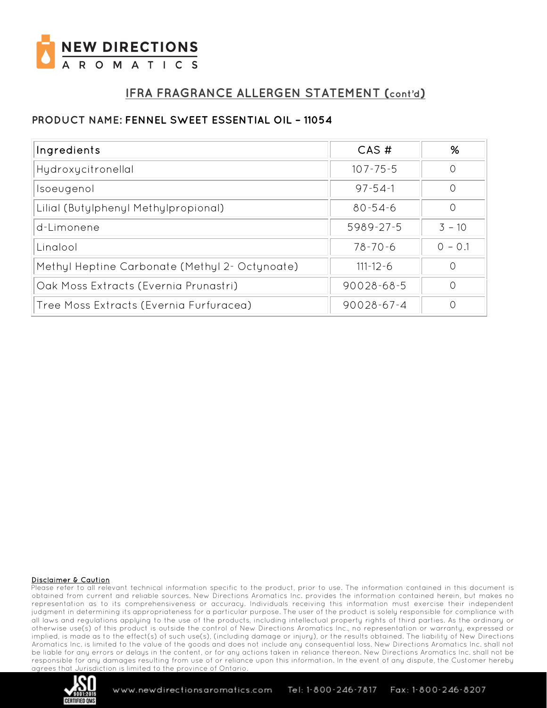

# **IFRA FRAGRANCE ALLERGEN STATEMENT (cont'd)**

## **PRODUCT NAME: FENNEL SWEET ESSENTIAL OIL – 11054**

| Ingredients                                    | CAS#             | %         |
|------------------------------------------------|------------------|-----------|
| Hydroxycitronellal                             | $107 - 75 - 5$   |           |
| Isoeugenol                                     | $97 - 54 - 1$    |           |
| Lilial (Butylphenyl Methylpropional)           | $80 - 54 - 6$    | Ω         |
| d-Limonene                                     | 5989-27-5        | $3 - 10$  |
| Linglool                                       | $78 - 70 - 6$    | $0 - 0.1$ |
| Methyl Heptine Carbonate (Methyl 2- Octynoate) | $111 - 12 - 6$   |           |
| Oak Moss Extracts (Evernia Prunastri)          | $90028 - 68 - 5$ |           |
| Tree Moss Extracts (Evernia Furfuracea)        | $90028 - 67 - 4$ |           |

#### Disclaimer & Caution

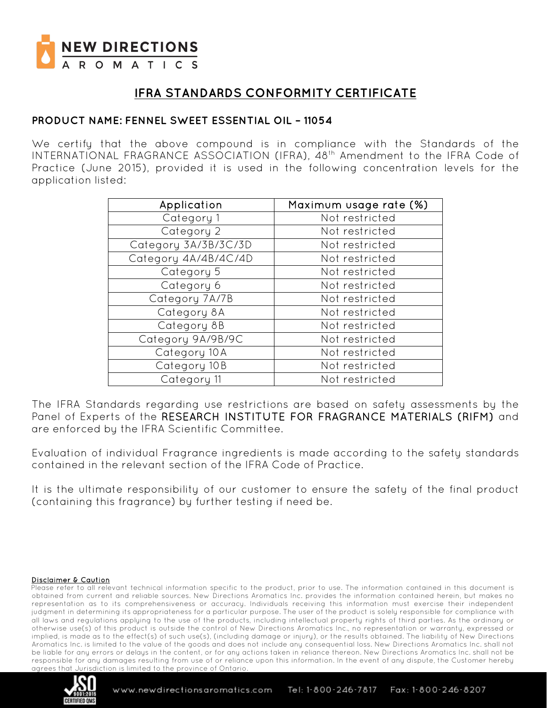

# **IFRA STANDARDS CONFORMITY CERTIFICATE**

### **PRODUCT NAME: FENNEL SWEET ESSENTIAL OIL – 11054**

We certify that the above compound is in compliance with the Standards of the INTERNATIONAL FRAGRANCE ASSOCIATION (IFRA), 48<sup>th</sup> Amendment to the IFRA Code of Practice (June 2015), provided it is used in the following concentration levels for the application listed:

| Application          | Maximum usage rate (%) |  |
|----------------------|------------------------|--|
| Category 1           | Not restricted         |  |
| Category 2           | Not restricted         |  |
| Category 3A/3B/3C/3D | Not restricted         |  |
| Category 4A/4B/4C/4D | Not restricted         |  |
| Category 5           | Not restricted         |  |
| Category 6           | Not restricted         |  |
| Category 7A/7B       | Not restricted         |  |
| Category 8A          | Not restricted         |  |
| Category 8B          | Not restricted         |  |
| Category 9A/9B/9C    | Not restricted         |  |
| Category 10A         | Not restricted         |  |
| Category 10B         | Not restricted         |  |
| Category 11          | Not restricted         |  |

The IFRA Standards regarding use restrictions are based on safety assessments by the Panel of Experts of the RESEARCH INSTITUTE FOR FRAGRANCE MATERIALS (RIFM) and are enforced by the IFRA Scientific Committee.

Evaluation of individual Fragrance ingredients is made according to the safety standards contained in the relevant section of the IFRA Code of Practice.

It is the ultimate responsibility of our customer to ensure the safety of the final product (containing this fragrance) by further testing if need be.

#### Disclaimer & Caution

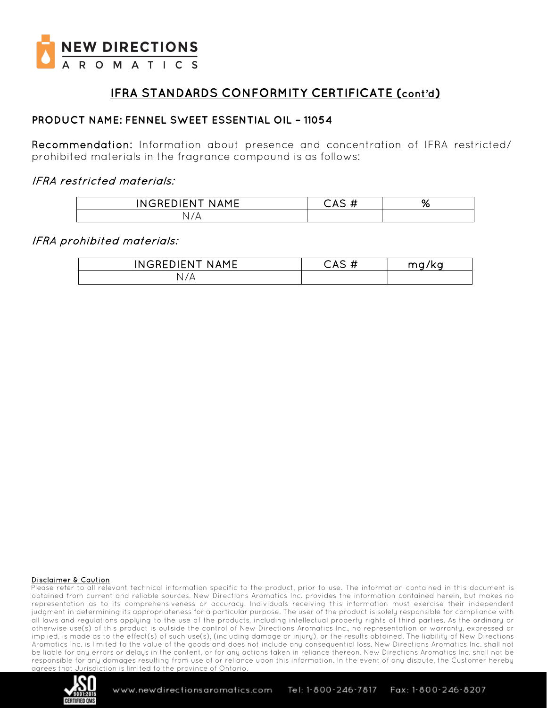

# **IFRA STANDARDS CONFORMITY CERTIFICATE (cont'd)**

### **PRODUCT NAME: FENNEL SWEET ESSENTIAL OIL – 11054**

Recommendation: Information about presence and concentration of IFRA restricted/ prohibited materials in the fragrance compound is as follows:

### IFRA restricted materials:

| INGREDIEN <sup>.</sup><br><b>NAME</b> | -1.1<br>$\sim$ $\sim$<br>π | % |
|---------------------------------------|----------------------------|---|
| N.                                    |                            |   |

### IFRA prohibited materials:

| INGREDIENT<br><b>NAMF</b> | .<br>∴AS<br>.,,<br>$\bm{\pi}$ | 7ka<br>m q |
|---------------------------|-------------------------------|------------|
| 7А<br>N                   |                               |            |

#### Disclaimer & Caution

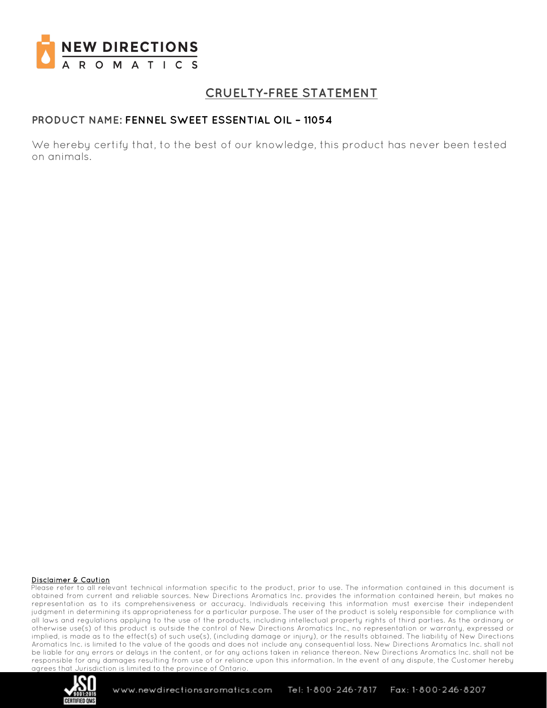

# **CRUELTY-FREE STATEMENT**

### **PRODUCT NAME: FENNEL SWEET ESSENTIAL OIL – 11054**

We hereby certify that, to the best of our knowledge, this product has never been tested on animals.

#### Disclaimer & Caution

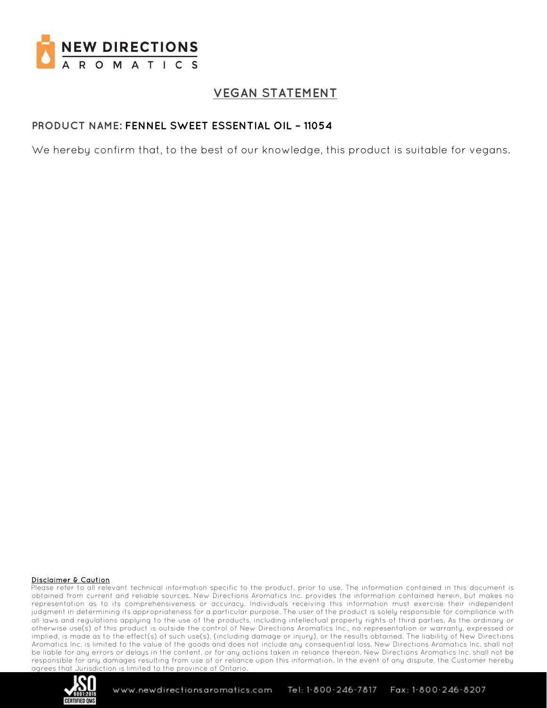

# **VEGAN STATEMENT**

### **PRODUCT NAME: FENNEL SWEET ESSENTIAL OIL – 11054**

We hereby confirm that, to the best of our knowledge, this product is suitable for vegans.

#### Disclaimer & Caution

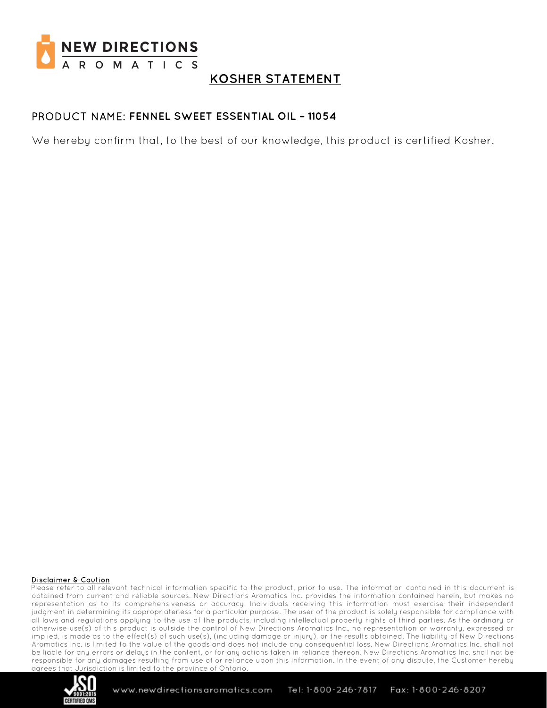

## **KOSHER STATEMENT**

### PRODUCT NAME: **FENNEL SWEET ESSENTIAL OIL – 11054**

We hereby confirm that, to the best of our knowledge, this product is certified Kosher.

#### Disclaimer & Caution